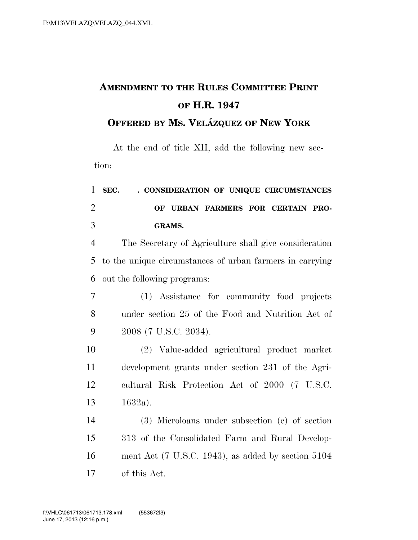## **AMENDMENT TO THE RULES COMMITTEE PRINT OF H.R. 1947**

**OFFERED BY MS. VELA´ ZQUEZ OF NEW YORK**

At the end of title XII, add the following new section:

| $\mathbf{1}$   | SEC. ___. CONSIDERATION OF UNIQUE CIRCUMSTANCES                  |
|----------------|------------------------------------------------------------------|
| $\overline{2}$ | OF URBAN FARMERS FOR CERTAIN PRO-                                |
| 3              | <b>GRAMS.</b>                                                    |
| $\overline{4}$ | The Secretary of Agriculture shall give consideration            |
| 5              | to the unique circumstances of urban farmers in carrying         |
| 6              | out the following programs:                                      |
| 7              | (1) Assistance for community food projects                       |
| 8              | under section 25 of the Food and Nutrition Act of                |
| 9              | 2008 (7 U.S.C. 2034).                                            |
| 10             | (2) Value-added agricultural product market                      |
| 11             | development grants under section 231 of the Agri-                |
| 12             | cultural Risk Protection Act of 2000 (7 U.S.C.                   |
| 13             | $1632a$ ).                                                       |
| 14             | (3) Microloans under subsection (c) of section                   |
| 15             | 313 of the Consolidated Farm and Rural Develop-                  |
| 16             | ment Act $(7 \text{ U.S.C. } 1943)$ , as added by section $5104$ |
| 17             | of this Act.                                                     |